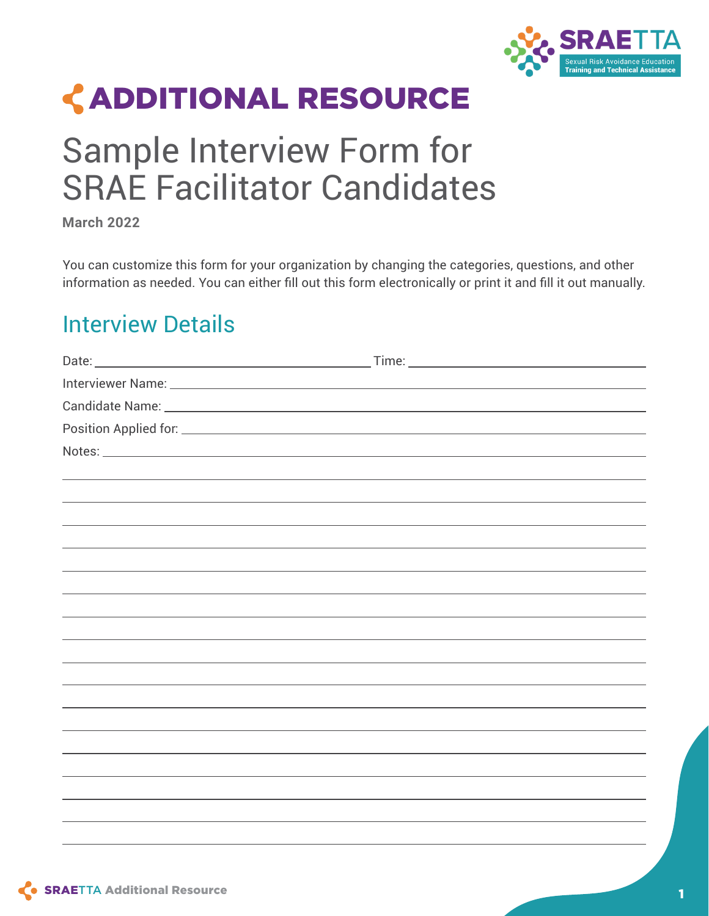

# ADDITIONAL RESOURCE

## Sample Interview Form for SRAE Facilitator Candidates

**March 2022** 

You can customize this form for your organization by changing the categories, questions, and other information as needed. You can either fill out this form electronically or print it and fill it out manually.

## Interview Details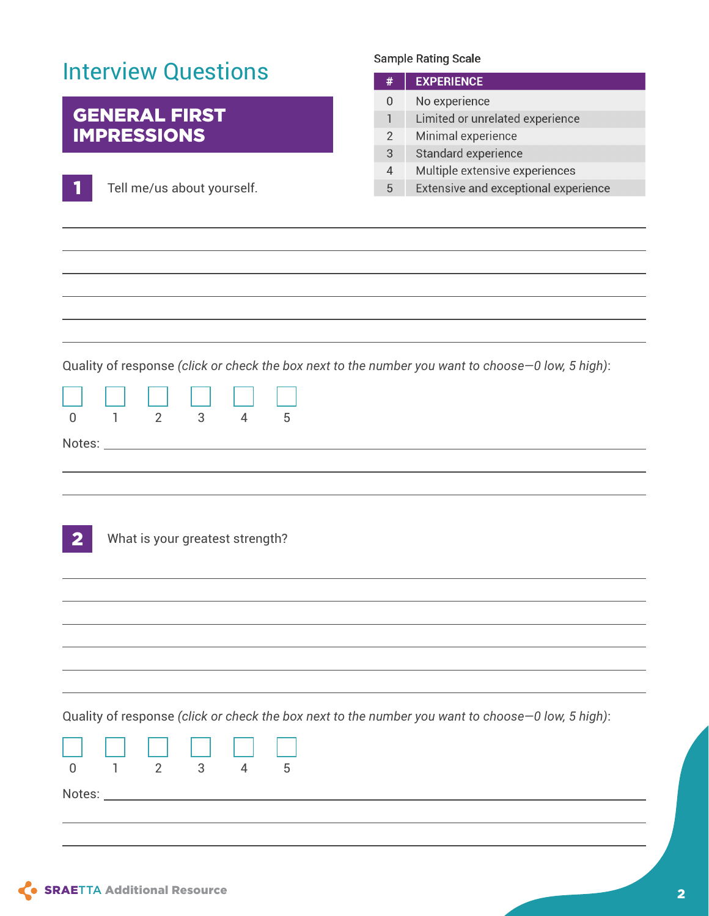| <b>Interview Questions</b>                                                                                                                                           | #                                        | <b>Sample Rating Scale</b><br><b>EXPERIENCE</b>                                               |
|----------------------------------------------------------------------------------------------------------------------------------------------------------------------|------------------------------------------|-----------------------------------------------------------------------------------------------|
| <b>GENERAL FIRST</b><br><b>IMPRESSIONS</b>                                                                                                                           | 0<br>$\mathbf{1}$<br>$\overline{2}$<br>3 | No experience<br>Limited or unrelated experience<br>Minimal experience<br>Standard experience |
| Tell me/us about yourself.                                                                                                                                           | $\overline{4}$<br>5                      | Multiple extensive experiences<br>Extensive and exceptional experience                        |
|                                                                                                                                                                      |                                          |                                                                                               |
|                                                                                                                                                                      |                                          |                                                                                               |
| Quality of response (click or check the box next to the number you want to choose-0 low, 5 high):<br>2<br>3<br>$\overline{4}$<br>$\mathbf{1}$<br>5<br>$\overline{0}$ |                                          |                                                                                               |
|                                                                                                                                                                      |                                          |                                                                                               |
| What is your greatest strength?                                                                                                                                      |                                          |                                                                                               |
|                                                                                                                                                                      |                                          |                                                                                               |
|                                                                                                                                                                      |                                          |                                                                                               |
|                                                                                                                                                                      |                                          |                                                                                               |
| Quality of response (click or check the box next to the number you want to choose - 0 low, 5 high):<br>$\overline{2}$<br>$\theta$<br>3<br>ı<br>4<br>5                |                                          |                                                                                               |
|                                                                                                                                                                      |                                          |                                                                                               |
|                                                                                                                                                                      |                                          |                                                                                               |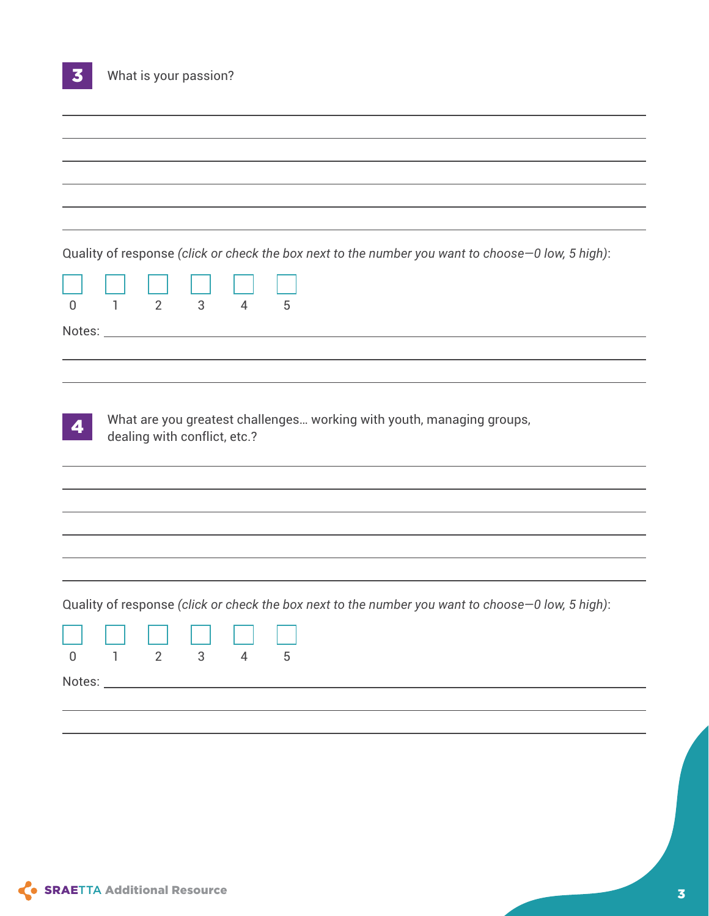|             | Quality of response (click or check the box next to the number you want to choose-0 low, 5 high):<br>$2^{\circ}$<br>1 | 3 | $\overline{4}$ | 5 |  |  |  |  |
|-------------|-----------------------------------------------------------------------------------------------------------------------|---|----------------|---|--|--|--|--|
|             |                                                                                                                       |   |                |   |  |  |  |  |
|             | What are you greatest challenges working with youth, managing groups,<br>dealing with conflict, etc.?                 |   |                |   |  |  |  |  |
|             |                                                                                                                       |   |                |   |  |  |  |  |
|             | Quality of response (click or check the box next to the number you want to choose-0 low, 5 high):                     |   |                |   |  |  |  |  |
| $\mathbf 0$ | $\overline{2}$<br>1                                                                                                   | 3 | $\overline{4}$ | 5 |  |  |  |  |
|             |                                                                                                                       |   |                |   |  |  |  |  |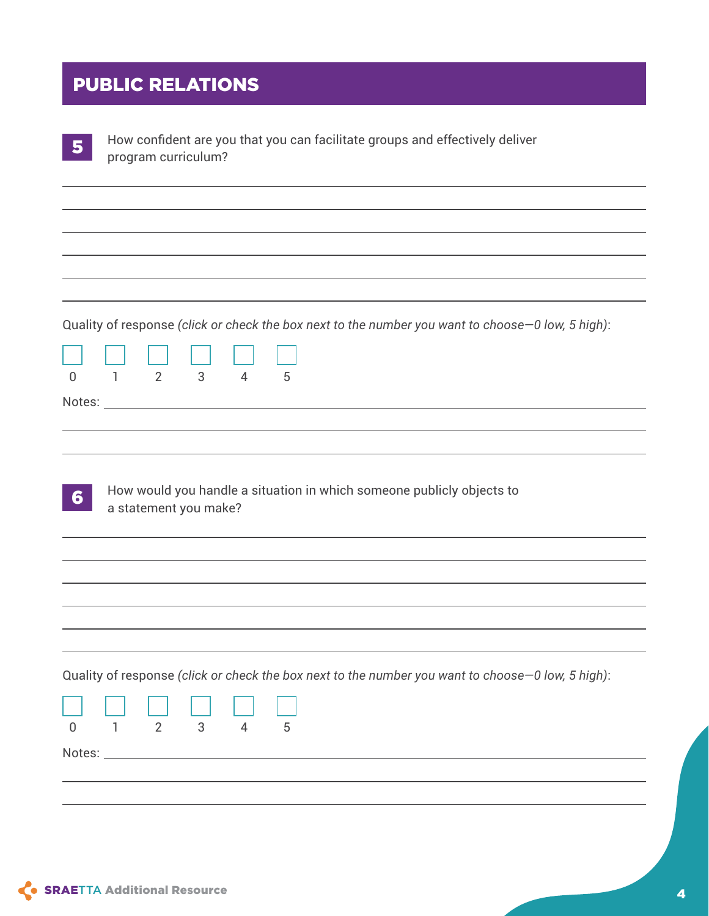#### PUBLIC RELATIONS

| 5           | How confident are you that you can facilitate groups and effectively deliver<br>program curriculum?                                             |
|-------------|-------------------------------------------------------------------------------------------------------------------------------------------------|
|             |                                                                                                                                                 |
|             |                                                                                                                                                 |
| $\mathbf 0$ | Quality of response (click or check the box next to the number you want to choose-0 low, 5 high):<br>3<br>2<br>$\overline{4}$<br>5<br>ı.        |
|             |                                                                                                                                                 |
| 6           | How would you handle a situation in which someone publicly objects to<br>a statement you make?                                                  |
|             |                                                                                                                                                 |
|             |                                                                                                                                                 |
| $\mathbf 0$ | Quality of response (click or check the box next to the number you want to choose-0 low, 5 high):<br>$\overline{2}$<br>3<br>$\overline{4}$<br>5 |
|             |                                                                                                                                                 |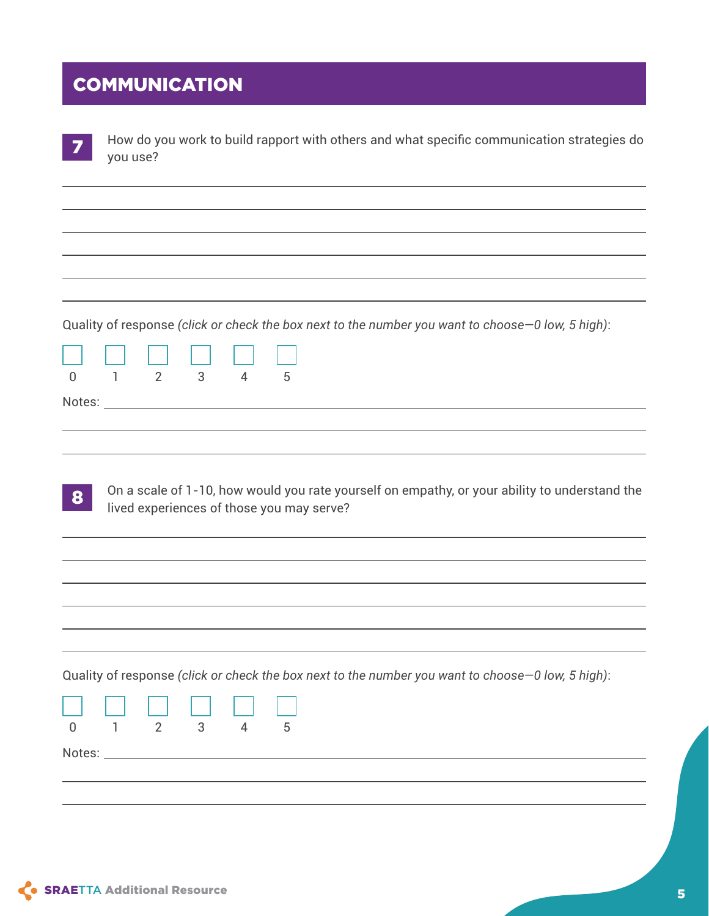#### **COMMUNICATION**

|             | How do you work to build rapport with others and what specific communication strategies do<br>you use?                                            |
|-------------|---------------------------------------------------------------------------------------------------------------------------------------------------|
|             |                                                                                                                                                   |
|             |                                                                                                                                                   |
|             |                                                                                                                                                   |
| $\mathbf 0$ | Quality of response (click or check the box next to the number you want to choose–0 low, 5 high):<br>2<br>$3^{\circ}$<br>1<br>$\overline{4}$<br>5 |
|             |                                                                                                                                                   |
| 8           | On a scale of 1-10, how would you rate yourself on empathy, or your ability to understand the<br>lived experiences of those you may serve?        |
|             |                                                                                                                                                   |
|             |                                                                                                                                                   |
| $\mathbf 0$ | Quality of response (click or check the box next to the number you want to choose-0 low, 5 high):<br>$\overline{2}$<br>3<br>$\overline{4}$<br>5   |
|             |                                                                                                                                                   |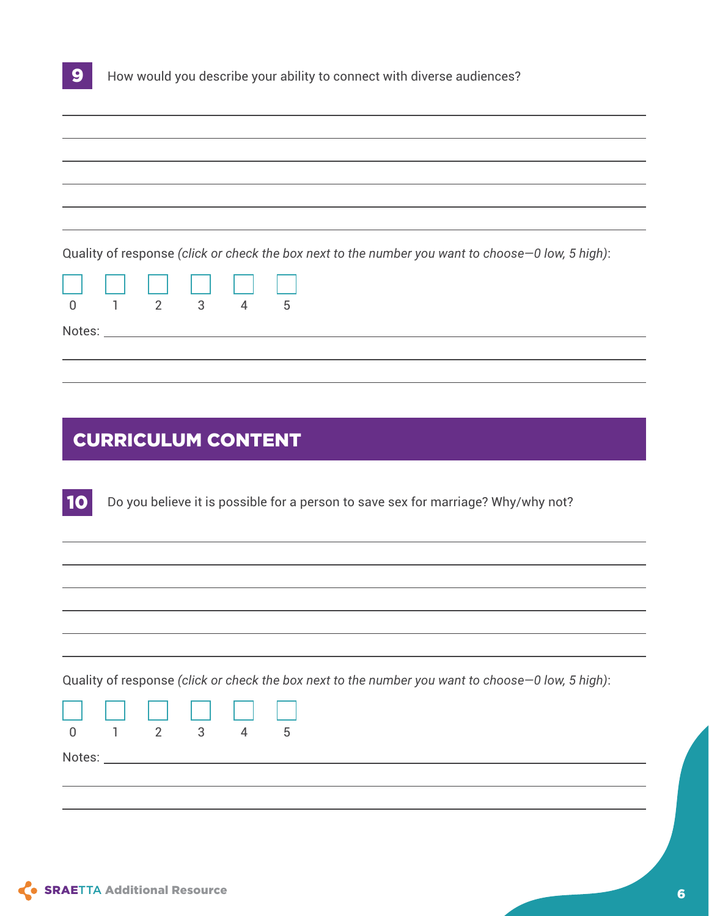| 9 <sup>1</sup> | How would you describe your ability to connect with diverse audiences? |
|----------------|------------------------------------------------------------------------|
|----------------|------------------------------------------------------------------------|

| Quality of response (click or check the box next to the number you want to choose -0 low, 5 high):<br>000000<br>$\begin{array}{ccccccccc}\n1 & 2 & 3 & 4 & 5\n\end{array}$ |  |  |  |  |  |  |
|----------------------------------------------------------------------------------------------------------------------------------------------------------------------------|--|--|--|--|--|--|
|                                                                                                                                                                            |  |  |  |  |  |  |
|                                                                                                                                                                            |  |  |  |  |  |  |
|                                                                                                                                                                            |  |  |  |  |  |  |
|                                                                                                                                                                            |  |  |  |  |  |  |
| $\overline{0}$<br>Notes: Notes: Notes: Notes: Notes: Notes: Notes: Notes: Notes: Notes: Notes: Notes: Notes: Notes: No                                                     |  |  |  |  |  |  |
|                                                                                                                                                                            |  |  |  |  |  |  |
|                                                                                                                                                                            |  |  |  |  |  |  |

#### CURRICULUM CONTENT

Do you believe it is possible for a person to save sex for marriage? Why/why not? 10

Quality of response *(click or check the box next to the number you want to choose—0 low, 5 high)*:

| 888888                       |  |  |
|------------------------------|--|--|
| $0 \t 1 \t 2 \t 3 \t 4 \t 5$ |  |  |

Notes: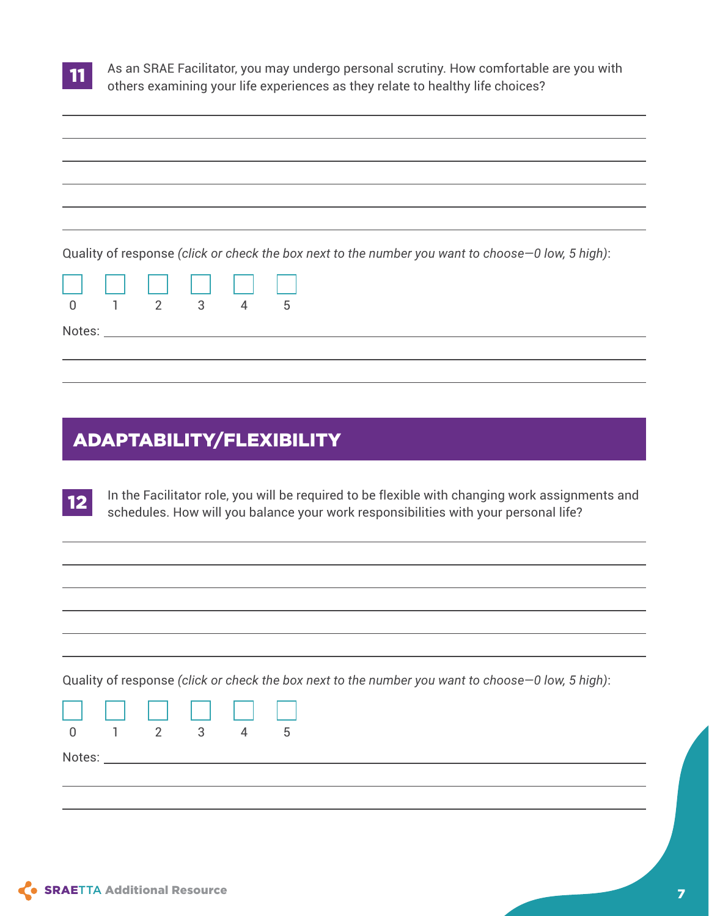

As an SRAE Facilitator, you may undergo personal scrutiny. How comfortable are you with others examining your life experiences as they relate to healthy life choices?

| Quality of response (click or check the box next to the number you want to choose -0 low, 5 high):<br><u>Li Li Li Li Li Li Li</u><br>$0 \t 1 \t 2 \t 3 \t 4 \t 5$ |  |  |  |  |
|-------------------------------------------------------------------------------------------------------------------------------------------------------------------|--|--|--|--|
|                                                                                                                                                                   |  |  |  |  |
|                                                                                                                                                                   |  |  |  |  |
|                                                                                                                                                                   |  |  |  |  |
|                                                                                                                                                                   |  |  |  |  |
|                                                                                                                                                                   |  |  |  |  |
|                                                                                                                                                                   |  |  |  |  |
|                                                                                                                                                                   |  |  |  |  |

#### ADAPTABILITY/FLEXIBILITY

In the Facilitator role, you will be required to be flexible with changing work assignments and schedules. How will you balance your work responsibilities with your personal life? 12

Quality of response *(click or check the box next to the number you want to choose—0 low, 5 high)*:



Notes: which is a series of the series of the series of the series of the series of the series of the series of the series of the series of the series of the series of the series of the series of the series of the series o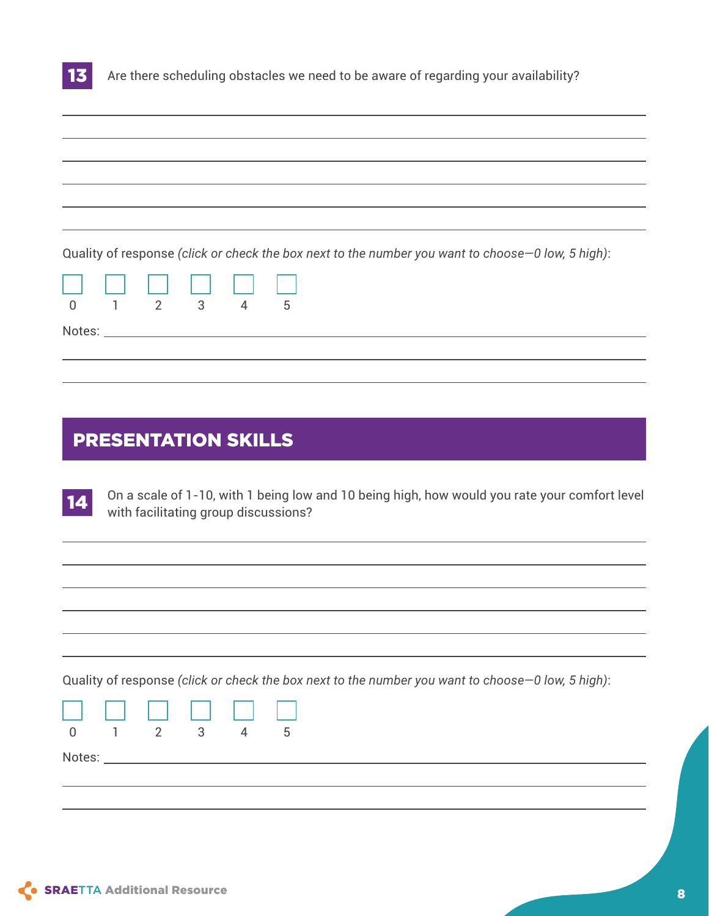

Are there scheduling obstacles we need to be aware of regarding your availability?

| Quality of response (click or check the box next to the number you want to choose -0 low, 5 high):<br>UU UU UU UU<br>$\frac{1}{0}$ $\frac{1}{1}$ $\frac{2}{2}$ $\frac{3}{3}$ $\frac{4}{4}$ $\frac{5}{5}$ |  |  |  |  |  |  |
|----------------------------------------------------------------------------------------------------------------------------------------------------------------------------------------------------------|--|--|--|--|--|--|
|                                                                                                                                                                                                          |  |  |  |  |  |  |
|                                                                                                                                                                                                          |  |  |  |  |  |  |
|                                                                                                                                                                                                          |  |  |  |  |  |  |
|                                                                                                                                                                                                          |  |  |  |  |  |  |
|                                                                                                                                                                                                          |  |  |  |  |  |  |
|                                                                                                                                                                                                          |  |  |  |  |  |  |

#### PRESENTATION SKILLS

On a scale of 1-10, with 1 being low and 10 being high, how would you rate your comfort level with facilitating group discussions? 14

Quality of response *(click or check the box next to the number you want to choose—0 low, 5 high)*:



Notes: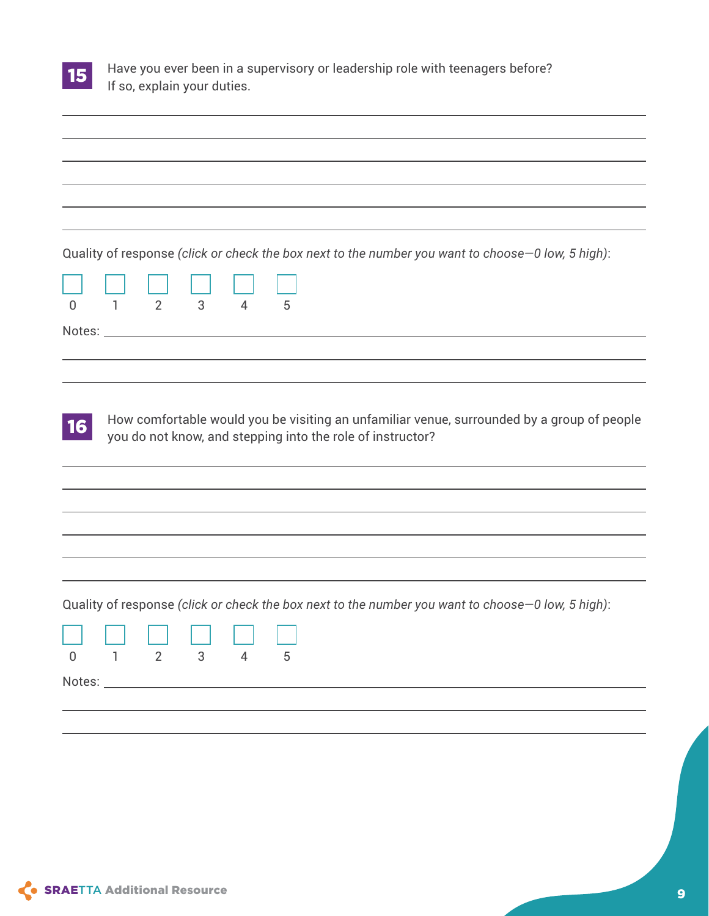| <b>Service Service</b> |  |
|------------------------|--|

Have you ever been in a supervisory or leadership role with teenagers before? If so, explain your duties.

Quality of response *(click or check the box next to the number you want to choose—0 low, 5 high)*:

|        | 0 1 2 3 4 |  |  |
|--------|-----------|--|--|
| Notes: |           |  |  |

How comfortable would you be visiting an unfamiliar venue, surrounded by a group of people you do not know, and stepping into the role of instructor? 16

Quality of response *(click or check the box next to the number you want to choose—0 low, 5 high)*:

|        |  | <u>n n n n n n n</u> |  |
|--------|--|----------------------|--|
|        |  | 0 1 2 3 4 5          |  |
| Notes: |  |                      |  |